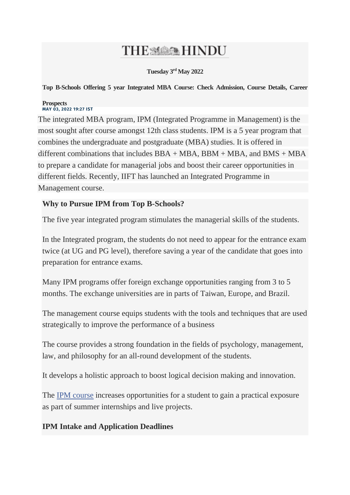# THE SAME HINDU

**Tuesday 3rd May 2022**

**Top B-Schools Offering 5 year Integrated MBA Course: Check Admission, Course Details, Career** 

#### **Prospects MAY 03, 2022 19:27 IST**

The integrated MBA program, IPM (Integrated Programme in Management) is the most sought after course amongst 12th class students. IPM is a 5 year program that combines the undergraduate and postgraduate (MBA) studies. It is offered in different combinations that includes  $BBA + MBA$ ,  $BBM + MBA$ , and  $BMS + MBA$ to prepare a candidate for managerial jobs and boost their career opportunities in different fields. Recently, IIFT has launched an Integrated Programme in Management course.

# **Why to Pursue IPM from Top B-Schools?**

The five year integrated program stimulates the managerial skills of the students.

In the Integrated program, the students do not need to appear for the entrance exam twice (at UG and PG level), therefore saving a year of the candidate that goes into preparation for entrance exams.

Many IPM programs offer foreign exchange opportunities ranging from 3 to 5 months. The exchange universities are in parts of Taiwan, Europe, and Brazil.

The management course equips students with the tools and techniques that are used strategically to improve the performance of a business

The course provides a strong foundation in the fields of psychology, management, law, and philosophy for an all-round development of the students.

It develops a holistic approach to boost logical decision making and innovation.

The [IPM course](https://collegedunia.com/university/25665-indian-institute-of-management-iim-indore/integrated-programme-in-management-ipm-7015) increases opportunities for a student to gain a practical exposure as part of summer internships and live projects.

### **IPM Intake and Application Deadlines**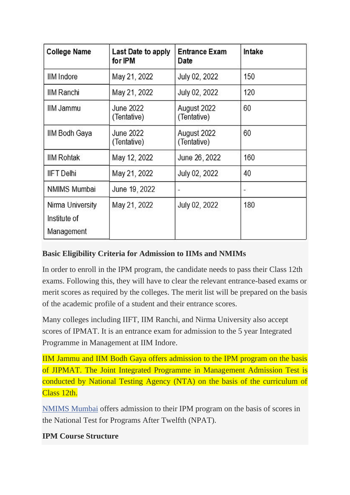| <b>College Name</b>                            | Last Date to apply<br>for IPM   | <b>Entrance Exam</b><br>Date | Intake                   |  |
|------------------------------------------------|---------------------------------|------------------------------|--------------------------|--|
| <b>IIM</b> Indore                              | May 21, 2022                    | July 02, 2022                | 150                      |  |
| <b>IIM Ranchi</b>                              | May 21, 2022                    | July 02, 2022                | 120                      |  |
| IIM Jammu                                      | <b>June 2022</b><br>(Tentative) | August 2022<br>(Tentative)   | 60                       |  |
| IIM Bodh Gaya                                  | <b>June 2022</b><br>(Tentative) | August 2022<br>(Tentative)   | 60                       |  |
| <b>IIM Rohtak</b>                              | May 12, 2022                    | June 26, 2022                | 160                      |  |
| <b>IIFT</b> Delhi                              | May 21, 2022                    | July 02, 2022                | 40                       |  |
| <b>NMIMS Mumbai</b>                            | June 19, 2022                   | $\overline{a}$               | $\overline{\phantom{0}}$ |  |
| Nirma University<br>Institute of<br>Management | May 21, 2022                    | July 02, 2022                | 180                      |  |

### **Basic Eligibility Criteria for Admission to IIMs and NMIMs**

In order to enroll in the IPM program, the candidate needs to pass their Class 12th exams. Following this, they will have to clear the relevant entrance-based exams or merit scores as required by the colleges. The merit list will be prepared on the basis of the academic profile of a student and their entrance scores.

Many colleges including IIFT, IIM Ranchi, and Nirma University also accept scores of IPMAT. It is an entrance exam for admission to the 5 year Integrated Programme in Management at IIM Indore.

IIM Jammu and IIM Bodh Gaya offers admission to the IPM program on the basis of JIPMAT. The Joint Integrated Programme in Management Admission Test is conducted by National Testing Agency (NTA) on the basis of the curriculum of Class 12th.

[NMIMS Mumbai](https://collegedunia.com/university/25716-narsee-monjee-institute-of-management-studies-nmims-deemed-to-be-university-mumbai) offers admission to their IPM program on the basis of scores in the National Test for Programs After Twelfth (NPAT).

### **IPM Course Structure**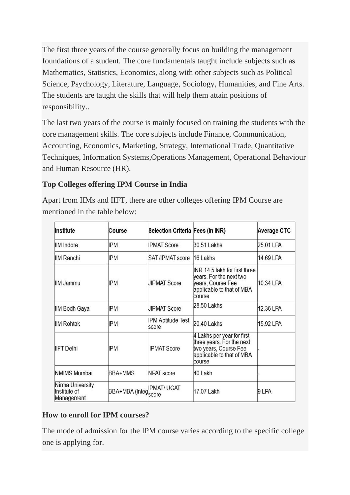The first three years of the course generally focus on building the management foundations of a student. The core fundamentals taught include subjects such as Mathematics, Statistics, Economics, along with other subjects such as Political Science, Psychology, Literature, Language, Sociology, Humanities, and Fine Arts. The students are taught the skills that will help them attain positions of responsibility..

The last two years of the course is mainly focused on training the students with the core management skills. The core subjects include Finance, Communication, Accounting, Economics, Marketing, Strategy, International Trade, Quantitative Techniques, Information Systems,Operations Management, Operational Behaviour and Human Resource (HR).

# **Top Colleges offering IPM Course in India**

Apart from IIMs and IIFT, there are other colleges offering IPM Course are mentioned in the table below:

| Institute                                      | Course               | Selection Criteria Fees (in INR) |                                                                                                                         | Average CTC |
|------------------------------------------------|----------------------|----------------------------------|-------------------------------------------------------------------------------------------------------------------------|-------------|
| <b>IIM</b> Indore                              | <b>IPM</b>           | <b>IPMAT Score</b>               | 30.51 Lakhs                                                                                                             | 25.01 LPA   |
| IIM Ranchi                                     | <b>IPM</b>           | <b>SAT /IPMAT score</b>          | 16 Lakhs                                                                                                                | 14.69 LPA   |
| IIM Jammu                                      | <b>IPM</b>           | <b>JIPMAT Score</b>              | INR 14.5 lakh for first three<br>years. For the next two<br>years, Course Fee<br>applicable to that of MBA<br>course    | 10.34 LPA   |
| <b>IIM Bodh Gaya</b>                           | <b>IPM</b>           | <b>JIPMAT Score</b>              | 28.50 Lakhs                                                                                                             | 12.36 LPA   |
| <b>IIM Rohtak</b>                              | IPM                  | IPM Aptitude Test<br>score       | 20.40 Lakhs                                                                                                             | 15.92 LPA   |
| <b>IIFT</b> Delhi                              | <b>IPM</b>           | <b>IPMAT Score</b>               | 4 Lakhs per year for first<br>three years. For the next<br>two years, Course Fee<br>applicable to that of MBA<br>course |             |
| <b>NMIMS Mumbai</b>                            | BBA+MMS              | <b>NPAT score</b>                | 40 Lakh                                                                                                                 |             |
| Nirma University<br>Institute of<br>Management | BBA+MBA (Integration | <b>IPMAT/UGAT</b>                | 17.07 Lakh                                                                                                              | 9 LPA       |

# **How to enroll for IPM courses?**

The mode of admission for the IPM course varies according to the specific college one is applying for.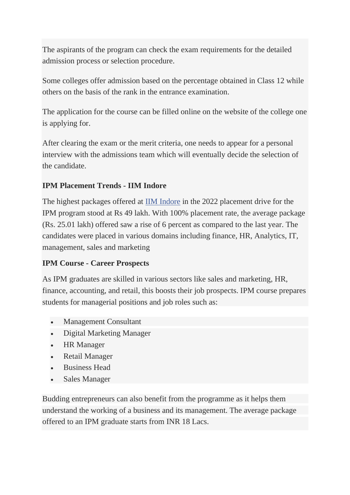The aspirants of the program can check the exam requirements for the detailed admission process or selection procedure.

Some colleges offer admission based on the percentage obtained in Class 12 while others on the basis of the rank in the entrance examination.

The application for the course can be filled online on the website of the college one is applying for.

After clearing the exam or the merit criteria, one needs to appear for a personal interview with the admissions team which will eventually decide the selection of the candidate.

# **IPM Placement Trends - IIM Indore**

The highest packages offered at [IIM Indore](https://collegedunia.com/university/25665-indian-institute-of-management-iim-indore) in the 2022 placement drive for the IPM program stood at Rs 49 lakh. With 100% placement rate, the average package (Rs. 25.01 lakh) offered saw a rise of 6 percent as compared to the last year. The candidates were placed in various domains including finance, HR, Analytics, IT, management, sales and marketing

### **IPM Course - Career Prospects**

As IPM graduates are skilled in various sectors like sales and marketing, HR, finance, accounting, and retail, this boosts their job prospects. IPM course prepares students for managerial positions and job roles such as:

- Management Consultant
- Digital Marketing Manager
- HR Manager
- Retail Manager
- Business Head
- Sales Manager

Budding entrepreneurs can also benefit from the programme as it helps them understand the working of a business and its management. The average package offered to an IPM graduate starts from INR 18 Lacs.